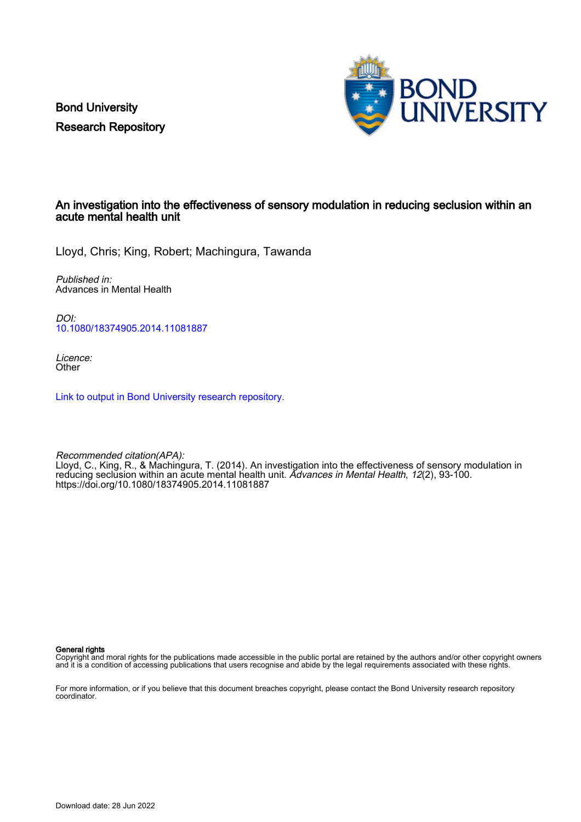Bond University Research Repository



# An investigation into the effectiveness of sensory modulation in reducing seclusion within an acute mental health unit

Lloyd, Chris; King, Robert; Machingura, Tawanda

Published in: Advances in Mental Health

DOI: [10.1080/18374905.2014.11081887](https://doi.org/10.1080/18374905.2014.11081887)

Licence: **Other** 

[Link to output in Bond University research repository.](https://research.bond.edu.au/en/publications/d914b57a-16ee-41bd-bdba-79535fe19728)

Recommended citation(APA): Lloyd, C., King, R., & Machingura, T. (2014). An investigation into the effectiveness of sensory modulation in reducing seclusion within an acute mental health unit. Advances in Mental Health, 12(2), 93-100. <https://doi.org/10.1080/18374905.2014.11081887>

General rights

Copyright and moral rights for the publications made accessible in the public portal are retained by the authors and/or other copyright owners and it is a condition of accessing publications that users recognise and abide by the legal requirements associated with these rights.

For more information, or if you believe that this document breaches copyright, please contact the Bond University research repository coordinator.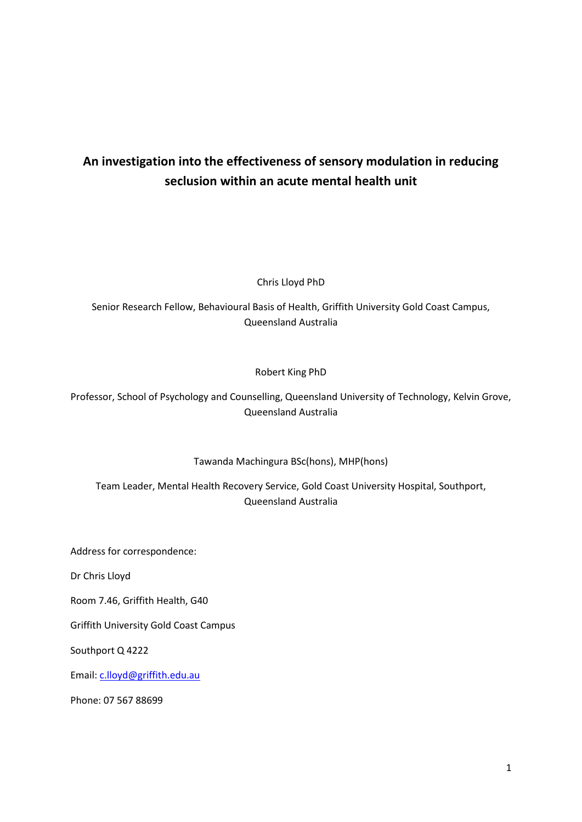# **An investigation into the effectiveness of sensory modulation in reducing seclusion within an acute mental health unit**

Chris Lloyd PhD

Senior Research Fellow, Behavioural Basis of Health, Griffith University Gold Coast Campus, Queensland Australia

# Robert King PhD

Professor, School of Psychology and Counselling, Queensland University of Technology, Kelvin Grove, Queensland Australia

Tawanda Machingura BSc(hons), MHP(hons)

Team Leader, Mental Health Recovery Service, Gold Coast University Hospital, Southport, Queensland Australia

Address for correspondence:

Dr Chris Lloyd

Room 7.46, Griffith Health, G40

Griffith University Gold Coast Campus

Southport Q 4222

Email: [c.lloyd@griffith.edu.au](mailto:c.lloyd@griffith.edu.au)

Phone: 07 567 88699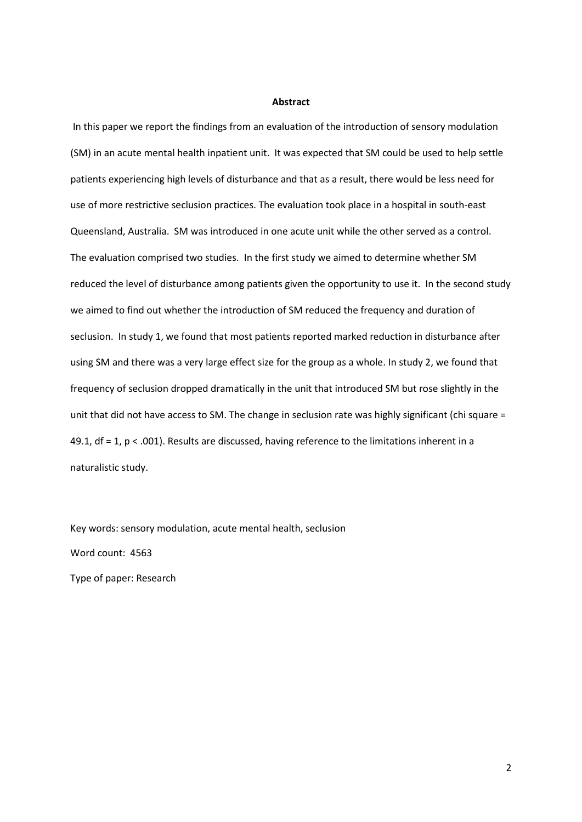#### **Abstract**

In this paper we report the findings from an evaluation of the introduction of sensory modulation (SM) in an acute mental health inpatient unit. It was expected that SM could be used to help settle patients experiencing high levels of disturbance and that as a result, there would be less need for use of more restrictive seclusion practices. The evaluation took place in a hospital in south-east Queensland, Australia. SM was introduced in one acute unit while the other served as a control. The evaluation comprised two studies. In the first study we aimed to determine whether SM reduced the level of disturbance among patients given the opportunity to use it. In the second study we aimed to find out whether the introduction of SM reduced the frequency and duration of seclusion. In study 1, we found that most patients reported marked reduction in disturbance after using SM and there was a very large effect size for the group as a whole. In study 2, we found that frequency of seclusion dropped dramatically in the unit that introduced SM but rose slightly in the unit that did not have access to SM. The change in seclusion rate was highly significant (chi square = 49.1, df = 1, p < .001). Results are discussed, having reference to the limitations inherent in a naturalistic study.

Key words: sensory modulation, acute mental health, seclusion Word count: 4563 Type of paper: Research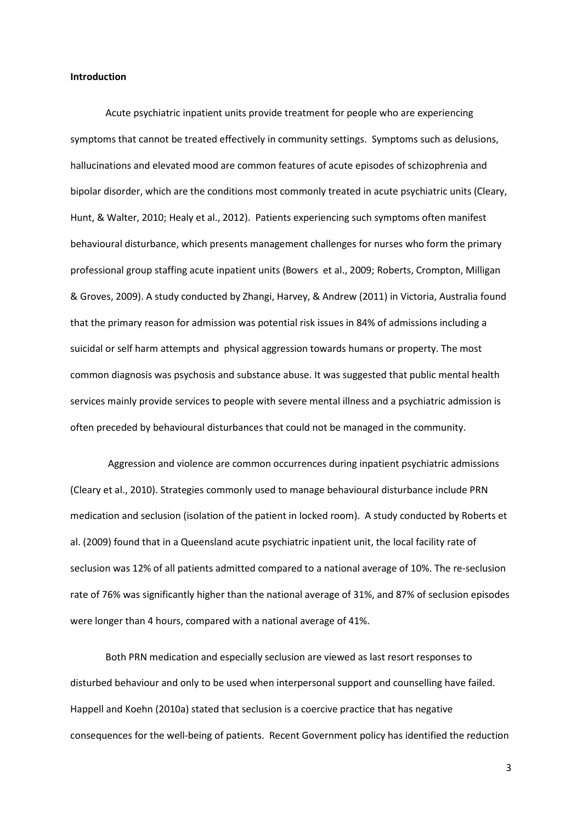# **Introduction**

Acute psychiatric inpatient units provide treatment for people who are experiencing symptoms that cannot be treated effectively in community settings. Symptoms such as delusions, hallucinations and elevated mood are common features of acute episodes of schizophrenia and bipolar disorder, which are the conditions most commonly treated in acute psychiatric units (Cleary, Hunt, & Walter, 2010; Healy et al., 2012). Patients experiencing such symptoms often manifest behavioural disturbance, which presents management challenges for nurses who form the primary professional group staffing acute inpatient units (Bowers et al., 2009; Roberts, Crompton, Milligan & Groves, 2009). A study conducted by Zhangi, Harvey, & Andrew (2011) in Victoria, Australia found that the primary reason for admission was potential risk issues in 84% of admissions including a suicidal or self harm attempts and physical aggression towards humans or property. The most common diagnosis was psychosis and substance abuse. It was suggested that public mental health services mainly provide services to people with severe mental illness and a psychiatric admission is often preceded by behavioural disturbances that could not be managed in the community.

Aggression and violence are common occurrences during inpatient psychiatric admissions (Cleary et al., 2010). Strategies commonly used to manage behavioural disturbance include PRN medication and seclusion (isolation of the patient in locked room). A study conducted by Roberts et al. (2009) found that in a Queensland acute psychiatric inpatient unit, the local facility rate of seclusion was 12% of all patients admitted compared to a national average of 10%. The re-seclusion rate of 76% was significantly higher than the national average of 31%, and 87% of seclusion episodes were longer than 4 hours, compared with a national average of 41%.

Both PRN medication and especially seclusion are viewed as last resort responses to disturbed behaviour and only to be used when interpersonal support and counselling have failed. Happell and Koehn (2010a) stated that seclusion is a coercive practice that has negative consequences for the well-being of patients. Recent Government policy has identified the reduction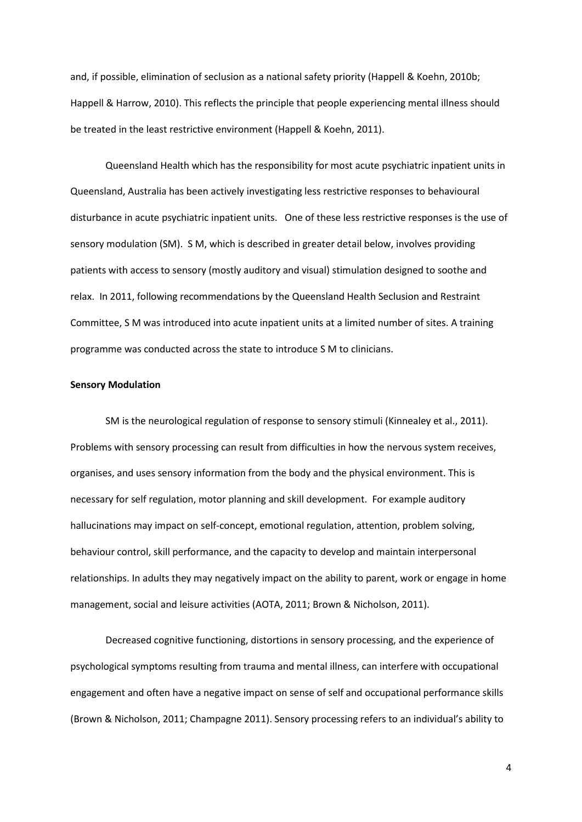and, if possible, elimination of seclusion as a national safety priority (Happell & Koehn, 2010b; Happell & Harrow, 2010). This reflects the principle that people experiencing mental illness should be treated in the least restrictive environment (Happell & Koehn, 2011).

Queensland Health which has the responsibility for most acute psychiatric inpatient units in Queensland, Australia has been actively investigating less restrictive responses to behavioural disturbance in acute psychiatric inpatient units. One of these less restrictive responses is the use of sensory modulation (SM). S M, which is described in greater detail below, involves providing patients with access to sensory (mostly auditory and visual) stimulation designed to soothe and relax. In 2011, following recommendations by the Queensland Health Seclusion and Restraint Committee, S M was introduced into acute inpatient units at a limited number of sites. A training programme was conducted across the state to introduce S M to clinicians.

#### **Sensory Modulation**

SM is the neurological regulation of response to sensory stimuli (Kinnealey et al., 2011). Problems with sensory processing can result from difficulties in how the nervous system receives, organises, and uses sensory information from the body and the physical environment. This is necessary for self regulation, motor planning and skill development. For example auditory hallucinations may impact on self-concept, emotional regulation, attention, problem solving, behaviour control, skill performance, and the capacity to develop and maintain interpersonal relationships. In adults they may negatively impact on the ability to parent, work or engage in home management, social and leisure activities (AOTA, 2011; Brown & Nicholson, 2011).

Decreased cognitive functioning, distortions in sensory processing, and the experience of psychological symptoms resulting from trauma and mental illness, can interfere with occupational engagement and often have a negative impact on sense of self and occupational performance skills (Brown & Nicholson, 2011; Champagne 2011). Sensory processing refers to an individual's ability to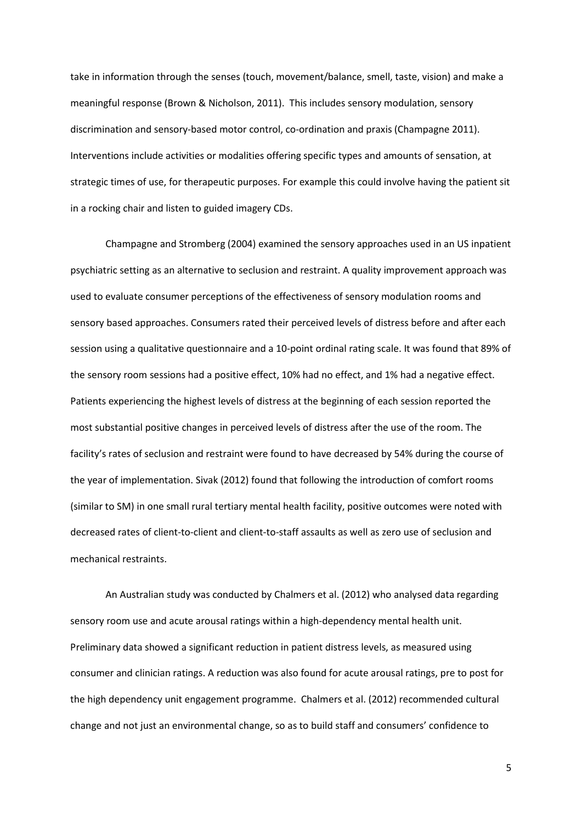take in information through the senses (touch, movement/balance, smell, taste, vision) and make a meaningful response (Brown & Nicholson, 2011). This includes sensory modulation, sensory discrimination and sensory-based motor control, co-ordination and praxis (Champagne 2011). Interventions include activities or modalities offering specific types and amounts of sensation, at strategic times of use, for therapeutic purposes. For example this could involve having the patient sit in a rocking chair and listen to guided imagery CDs.

Champagne and Stromberg (2004) examined the sensory approaches used in an US inpatient psychiatric setting as an alternative to seclusion and restraint. A quality improvement approach was used to evaluate consumer perceptions of the effectiveness of sensory modulation rooms and sensory based approaches. Consumers rated their perceived levels of distress before and after each session using a qualitative questionnaire and a 10-point ordinal rating scale. It was found that 89% of the sensory room sessions had a positive effect, 10% had no effect, and 1% had a negative effect. Patients experiencing the highest levels of distress at the beginning of each session reported the most substantial positive changes in perceived levels of distress after the use of the room. The facility's rates of seclusion and restraint were found to have decreased by 54% during the course of the year of implementation. Sivak (2012) found that following the introduction of comfort rooms (similar to SM) in one small rural tertiary mental health facility, positive outcomes were noted with decreased rates of client-to-client and client-to-staff assaults as well as zero use of seclusion and mechanical restraints.

An Australian study was conducted by Chalmers et al. (2012) who analysed data regarding sensory room use and acute arousal ratings within a high-dependency mental health unit. Preliminary data showed a significant reduction in patient distress levels, as measured using consumer and clinician ratings. A reduction was also found for acute arousal ratings, pre to post for the high dependency unit engagement programme. Chalmers et al. (2012) recommended cultural change and not just an environmental change, so as to build staff and consumers' confidence to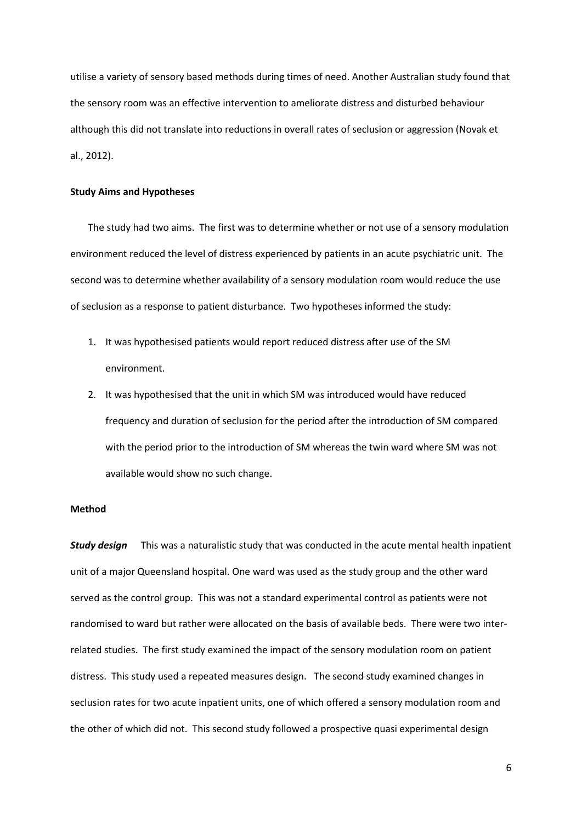utilise a variety of sensory based methods during times of need. Another Australian study found that the sensory room was an effective intervention to ameliorate distress and disturbed behaviour although this did not translate into reductions in overall rates of seclusion or aggression (Novak et al., 2012).

# **Study Aims and Hypotheses**

The study had two aims. The first was to determine whether or not use of a sensory modulation environment reduced the level of distress experienced by patients in an acute psychiatric unit. The second was to determine whether availability of a sensory modulation room would reduce the use of seclusion as a response to patient disturbance. Two hypotheses informed the study:

- 1. It was hypothesised patients would report reduced distress after use of the SM environment.
- 2. It was hypothesised that the unit in which SM was introduced would have reduced frequency and duration of seclusion for the period after the introduction of SM compared with the period prior to the introduction of SM whereas the twin ward where SM was not available would show no such change.

# **Method**

*Study design* This was a naturalistic study that was conducted in the acute mental health inpatient unit of a major Queensland hospital. One ward was used as the study group and the other ward served as the control group. This was not a standard experimental control as patients were not randomised to ward but rather were allocated on the basis of available beds. There were two interrelated studies. The first study examined the impact of the sensory modulation room on patient distress. This study used a repeated measures design. The second study examined changes in seclusion rates for two acute inpatient units, one of which offered a sensory modulation room and the other of which did not. This second study followed a prospective quasi experimental design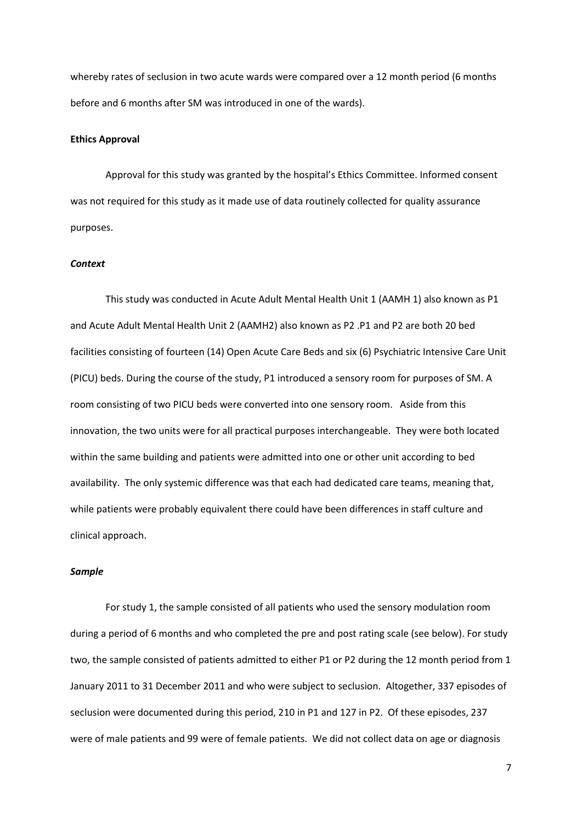whereby rates of seclusion in two acute wards were compared over a 12 month period (6 months before and 6 months after SM was introduced in one of the wards).

# **Ethics Approval**

Approval for this study was granted by the hospital's Ethics Committee. Informed consent was not required for this study as it made use of data routinely collected for quality assurance purposes.

# *Context*

This study was conducted in Acute Adult Mental Health Unit 1 (AAMH 1) also known as P1 and Acute Adult Mental Health Unit 2 (AAMH2) also known as P2 .P1 and P2 are both 20 bed facilities consisting of fourteen (14) Open Acute Care Beds and six (6) Psychiatric Intensive Care Unit (PICU) beds. During the course of the study, P1 introduced a sensory room for purposes of SM. A room consisting of two PICU beds were converted into one sensory room. Aside from this innovation, the two units were for all practical purposes interchangeable. They were both located within the same building and patients were admitted into one or other unit according to bed availability. The only systemic difference was that each had dedicated care teams, meaning that, while patients were probably equivalent there could have been differences in staff culture and clinical approach.

# *Sample*

For study 1, the sample consisted of all patients who used the sensory modulation room during a period of 6 months and who completed the pre and post rating scale (see below). For study two, the sample consisted of patients admitted to either P1 or P2 during the 12 month period from 1 January 2011 to 31 December 2011 and who were subject to seclusion. Altogether, 337 episodes of seclusion were documented during this period, 210 in P1 and 127 in P2. Of these episodes, 237 were of male patients and 99 were of female patients. We did not collect data on age or diagnosis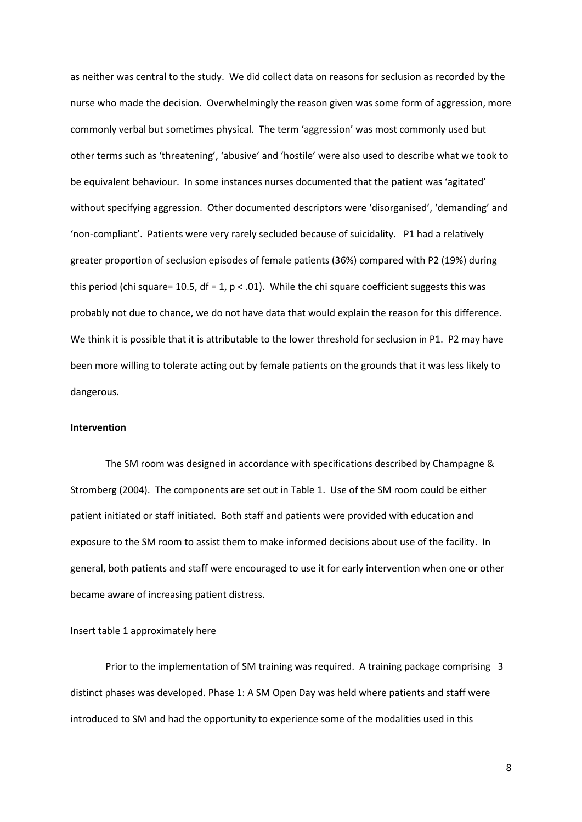as neither was central to the study. We did collect data on reasons for seclusion as recorded by the nurse who made the decision. Overwhelmingly the reason given was some form of aggression, more commonly verbal but sometimes physical. The term 'aggression' was most commonly used but other terms such as 'threatening', 'abusive' and 'hostile' were also used to describe what we took to be equivalent behaviour. In some instances nurses documented that the patient was 'agitated' without specifying aggression. Other documented descriptors were 'disorganised', 'demanding' and 'non-compliant'. Patients were very rarely secluded because of suicidality. P1 had a relatively greater proportion of seclusion episodes of female patients (36%) compared with P2 (19%) during this period (chi square= 10.5, df = 1, p < .01). While the chi square coefficient suggests this was probably not due to chance, we do not have data that would explain the reason for this difference. We think it is possible that it is attributable to the lower threshold for seclusion in P1. P2 may have been more willing to tolerate acting out by female patients on the grounds that it was less likely to dangerous.

# **Intervention**

The SM room was designed in accordance with specifications described by Champagne & Stromberg (2004). The components are set out in Table 1. Use of the SM room could be either patient initiated or staff initiated. Both staff and patients were provided with education and exposure to the SM room to assist them to make informed decisions about use of the facility. In general, both patients and staff were encouraged to use it for early intervention when one or other became aware of increasing patient distress.

# Insert table 1 approximately here

Prior to the implementation of SM training was required. A training package comprising 3 distinct phases was developed. Phase 1: A SM Open Day was held where patients and staff were introduced to SM and had the opportunity to experience some of the modalities used in this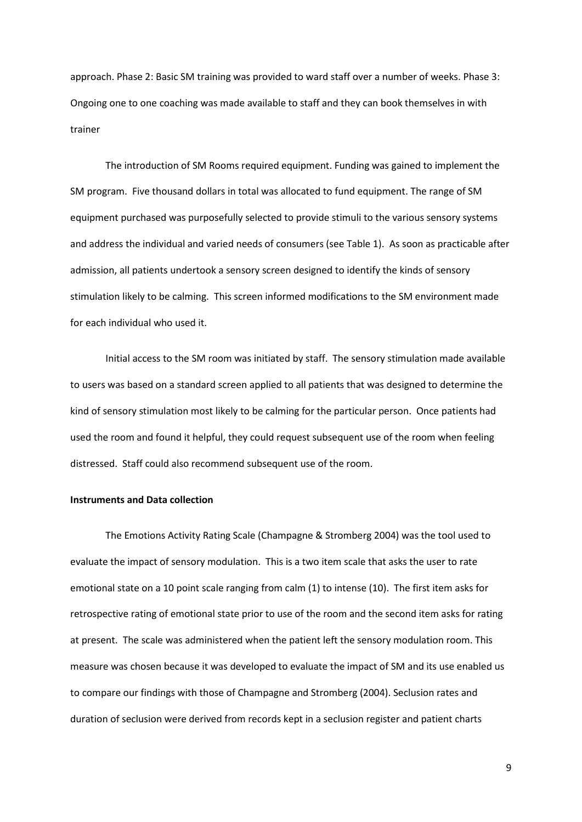approach. Phase 2: Basic SM training was provided to ward staff over a number of weeks. Phase 3: Ongoing one to one coaching was made available to staff and they can book themselves in with trainer

The introduction of SM Rooms required equipment. Funding was gained to implement the SM program. Five thousand dollars in total was allocated to fund equipment. The range of SM equipment purchased was purposefully selected to provide stimuli to the various sensory systems and address the individual and varied needs of consumers (see Table 1). As soon as practicable after admission, all patients undertook a sensory screen designed to identify the kinds of sensory stimulation likely to be calming. This screen informed modifications to the SM environment made for each individual who used it.

Initial access to the SM room was initiated by staff. The sensory stimulation made available to users was based on a standard screen applied to all patients that was designed to determine the kind of sensory stimulation most likely to be calming for the particular person. Once patients had used the room and found it helpful, they could request subsequent use of the room when feeling distressed. Staff could also recommend subsequent use of the room.

# **Instruments and Data collection**

The Emotions Activity Rating Scale (Champagne & Stromberg 2004) was the tool used to evaluate the impact of sensory modulation. This is a two item scale that asks the user to rate emotional state on a 10 point scale ranging from calm (1) to intense (10). The first item asks for retrospective rating of emotional state prior to use of the room and the second item asks for rating at present. The scale was administered when the patient left the sensory modulation room. This measure was chosen because it was developed to evaluate the impact of SM and its use enabled us to compare our findings with those of Champagne and Stromberg (2004). Seclusion rates and duration of seclusion were derived from records kept in a seclusion register and patient charts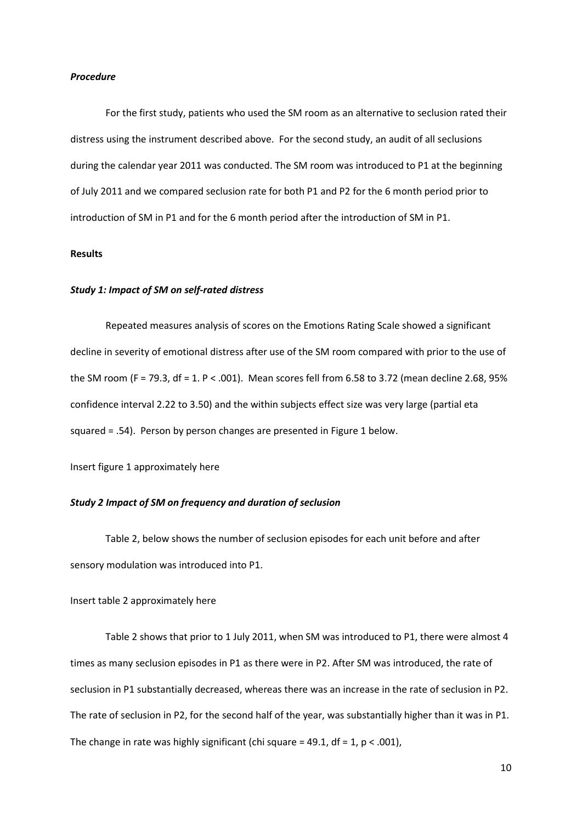# *Procedure*

For the first study, patients who used the SM room as an alternative to seclusion rated their distress using the instrument described above. For the second study, an audit of all seclusions during the calendar year 2011 was conducted. The SM room was introduced to P1 at the beginning of July 2011 and we compared seclusion rate for both P1 and P2 for the 6 month period prior to introduction of SM in P1 and for the 6 month period after the introduction of SM in P1.

# **Results**

# *Study 1: Impact of SM on self-rated distress*

Repeated measures analysis of scores on the Emotions Rating Scale showed a significant decline in severity of emotional distress after use of the SM room compared with prior to the use of the SM room (F = 79.3, df = 1. P < .001). Mean scores fell from 6.58 to 3.72 (mean decline 2.68, 95% confidence interval 2.22 to 3.50) and the within subjects effect size was very large (partial eta squared = .54). Person by person changes are presented in Figure 1 below.

Insert figure 1 approximately here

# *Study 2 Impact of SM on frequency and duration of seclusion*

Table 2, below shows the number of seclusion episodes for each unit before and after sensory modulation was introduced into P1.

Insert table 2 approximately here

Table 2 shows that prior to 1 July 2011, when SM was introduced to P1, there were almost 4 times as many seclusion episodes in P1 as there were in P2. After SM was introduced, the rate of seclusion in P1 substantially decreased, whereas there was an increase in the rate of seclusion in P2. The rate of seclusion in P2, for the second half of the year, was substantially higher than it was in P1. The change in rate was highly significant (chi square = 49.1,  $df = 1$ ,  $p < .001$ ),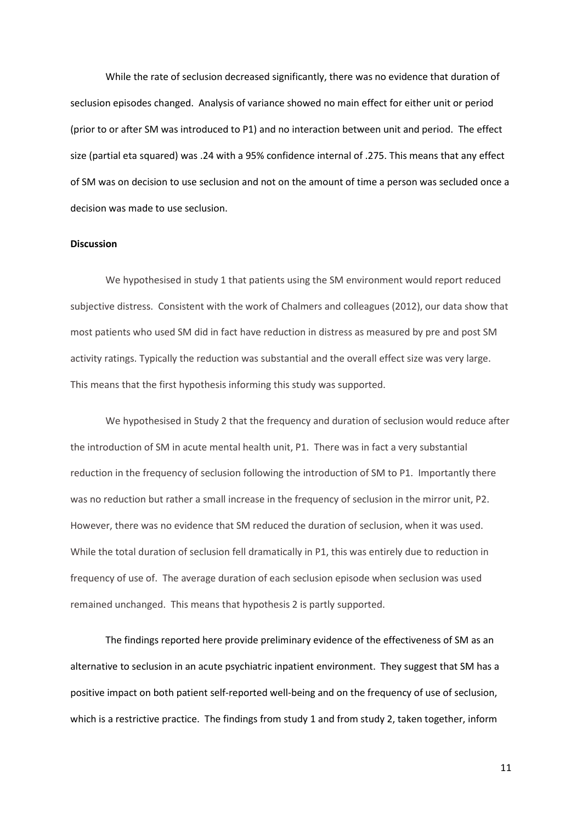While the rate of seclusion decreased significantly, there was no evidence that duration of seclusion episodes changed. Analysis of variance showed no main effect for either unit or period (prior to or after SM was introduced to P1) and no interaction between unit and period. The effect size (partial eta squared) was .24 with a 95% confidence internal of .275. This means that any effect of SM was on decision to use seclusion and not on the amount of time a person was secluded once a decision was made to use seclusion.

#### **Discussion**

We hypothesised in study 1 that patients using the SM environment would report reduced subjective distress. Consistent with the work of Chalmers and colleagues (2012), our data show that most patients who used SM did in fact have reduction in distress as measured by pre and post SM activity ratings. Typically the reduction was substantial and the overall effect size was very large. This means that the first hypothesis informing this study was supported.

We hypothesised in Study 2 that the frequency and duration of seclusion would reduce after the introduction of SM in acute mental health unit, P1. There was in fact a very substantial reduction in the frequency of seclusion following the introduction of SM to P1. Importantly there was no reduction but rather a small increase in the frequency of seclusion in the mirror unit, P2. However, there was no evidence that SM reduced the duration of seclusion, when it was used. While the total duration of seclusion fell dramatically in P1, this was entirely due to reduction in frequency of use of. The average duration of each seclusion episode when seclusion was used remained unchanged. This means that hypothesis 2 is partly supported.

The findings reported here provide preliminary evidence of the effectiveness of SM as an alternative to seclusion in an acute psychiatric inpatient environment. They suggest that SM has a positive impact on both patient self-reported well-being and on the frequency of use of seclusion, which is a restrictive practice. The findings from study 1 and from study 2, taken together, inform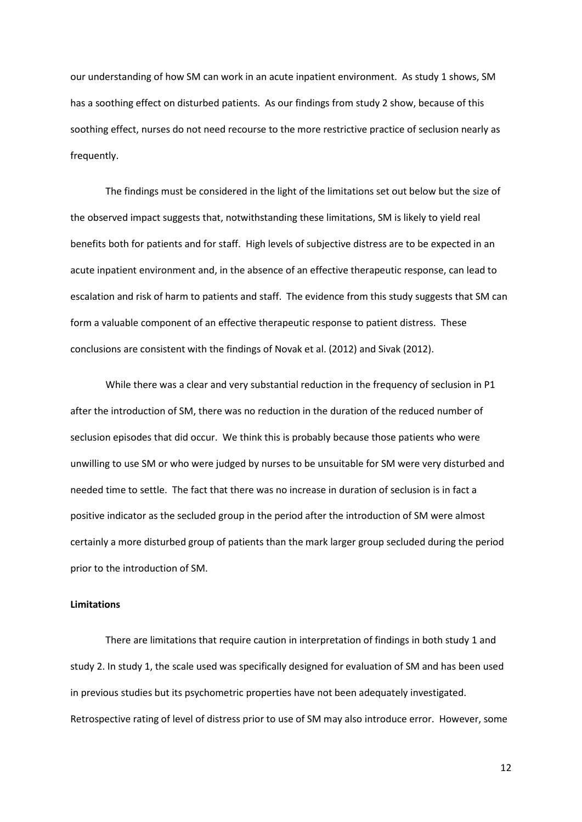our understanding of how SM can work in an acute inpatient environment. As study 1 shows, SM has a soothing effect on disturbed patients. As our findings from study 2 show, because of this soothing effect, nurses do not need recourse to the more restrictive practice of seclusion nearly as frequently.

The findings must be considered in the light of the limitations set out below but the size of the observed impact suggests that, notwithstanding these limitations, SM is likely to yield real benefits both for patients and for staff. High levels of subjective distress are to be expected in an acute inpatient environment and, in the absence of an effective therapeutic response, can lead to escalation and risk of harm to patients and staff. The evidence from this study suggests that SM can form a valuable component of an effective therapeutic response to patient distress. These conclusions are consistent with the findings of Novak et al. (2012) and Sivak (2012).

While there was a clear and very substantial reduction in the frequency of seclusion in P1 after the introduction of SM, there was no reduction in the duration of the reduced number of seclusion episodes that did occur. We think this is probably because those patients who were unwilling to use SM or who were judged by nurses to be unsuitable for SM were very disturbed and needed time to settle. The fact that there was no increase in duration of seclusion is in fact a positive indicator as the secluded group in the period after the introduction of SM were almost certainly a more disturbed group of patients than the mark larger group secluded during the period prior to the introduction of SM.

# **Limitations**

There are limitations that require caution in interpretation of findings in both study 1 and study 2. In study 1, the scale used was specifically designed for evaluation of SM and has been used in previous studies but its psychometric properties have not been adequately investigated. Retrospective rating of level of distress prior to use of SM may also introduce error. However, some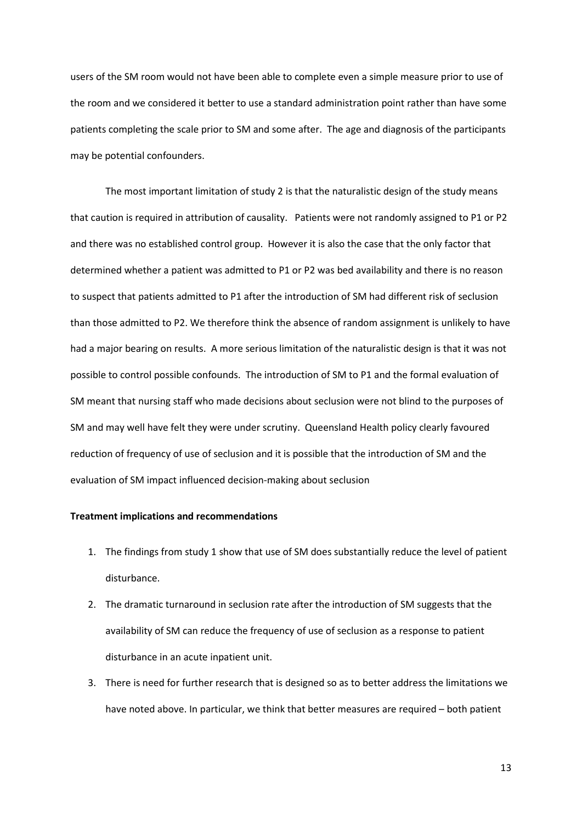users of the SM room would not have been able to complete even a simple measure prior to use of the room and we considered it better to use a standard administration point rather than have some patients completing the scale prior to SM and some after. The age and diagnosis of the participants may be potential confounders.

The most important limitation of study 2 is that the naturalistic design of the study means that caution is required in attribution of causality. Patients were not randomly assigned to P1 or P2 and there was no established control group. However it is also the case that the only factor that determined whether a patient was admitted to P1 or P2 was bed availability and there is no reason to suspect that patients admitted to P1 after the introduction of SM had different risk of seclusion than those admitted to P2. We therefore think the absence of random assignment is unlikely to have had a major bearing on results. A more serious limitation of the naturalistic design is that it was not possible to control possible confounds. The introduction of SM to P1 and the formal evaluation of SM meant that nursing staff who made decisions about seclusion were not blind to the purposes of SM and may well have felt they were under scrutiny. Queensland Health policy clearly favoured reduction of frequency of use of seclusion and it is possible that the introduction of SM and the evaluation of SM impact influenced decision-making about seclusion

# **Treatment implications and recommendations**

- 1. The findings from study 1 show that use of SM does substantially reduce the level of patient disturbance.
- 2. The dramatic turnaround in seclusion rate after the introduction of SM suggests that the availability of SM can reduce the frequency of use of seclusion as a response to patient disturbance in an acute inpatient unit.
- 3. There is need for further research that is designed so as to better address the limitations we have noted above. In particular, we think that better measures are required – both patient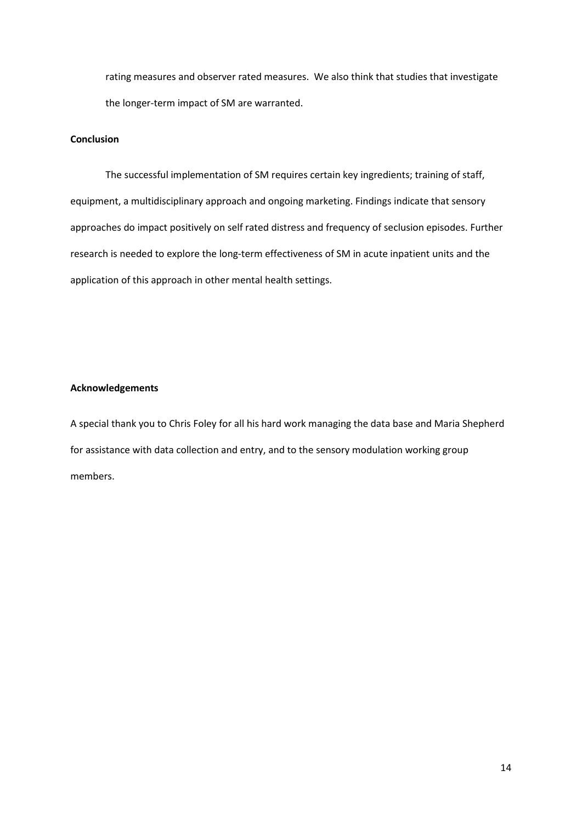rating measures and observer rated measures. We also think that studies that investigate the longer-term impact of SM are warranted.

# **Conclusion**

The successful implementation of SM requires certain key ingredients; training of staff, equipment, a multidisciplinary approach and ongoing marketing. Findings indicate that sensory approaches do impact positively on self rated distress and frequency of seclusion episodes. Further research is needed to explore the long-term effectiveness of SM in acute inpatient units and the application of this approach in other mental health settings.

# **Acknowledgements**

A special thank you to Chris Foley for all his hard work managing the data base and Maria Shepherd for assistance with data collection and entry, and to the sensory modulation working group members.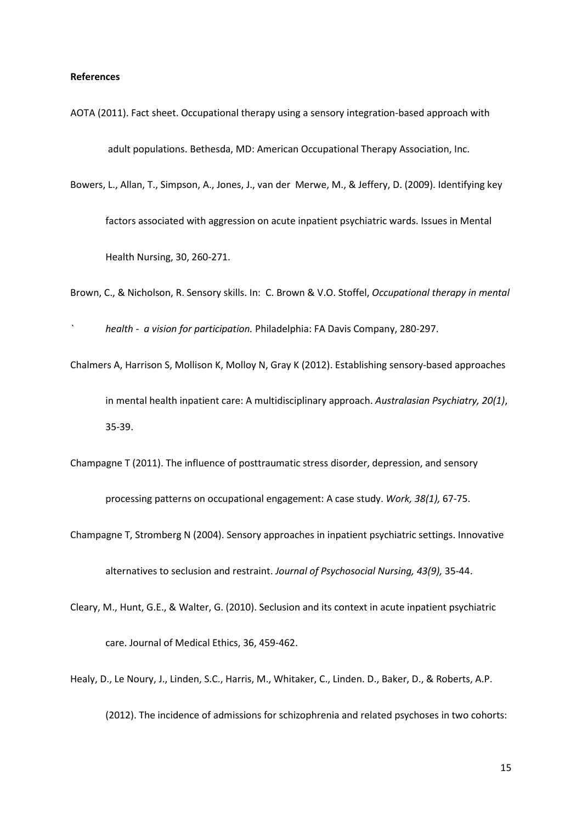# **References**

- AOTA (2011). Fact sheet. Occupational therapy using a sensory integration-based approach with adult populations. Bethesda, MD: American Occupational Therapy Association, Inc.
- Bowers, L., Allan, T., Simpson, A., Jones, J., van der Merwe, M., & Jeffery, D. (2009). Identifying key factors associated with aggression on acute inpatient psychiatric wards. Issues in Mental Health Nursing, 30, 260-271.
- Brown, C., & Nicholson, R. Sensory skills. In: C. Brown & V.O. Stoffel, *Occupational therapy in mental*
- *` health a vision for participation.* Philadelphia: FA Davis Company, 280-297.
- Chalmers A, Harrison S, Mollison K, Molloy N, Gray K (2012). Establishing sensory-based approaches in mental health inpatient care: A multidisciplinary approach. *Australasian Psychiatry, 20(1)*, 35-39.
- Champagne T (2011). The influence of posttraumatic stress disorder, depression, and sensory

processing patterns on occupational engagement: A case study. *Work, 38(1),* 67-75.

- Champagne T, Stromberg N (2004). Sensory approaches in inpatient psychiatric settings. Innovative alternatives to seclusion and restraint. *Journal of Psychosocial Nursing, 43(9),* 35-44.
- Cleary, M., Hunt, G.E., & Walter, G. (2010). Seclusion and its context in acute inpatient psychiatric care. Journal of Medical Ethics, 36, 459-462.
- Healy, D., Le Noury, J., Linden, S.C., Harris, M., Whitaker, C., Linden. D., Baker, D., & Roberts, A.P.
	- (2012). The incidence of admissions for schizophrenia and related psychoses in two cohorts: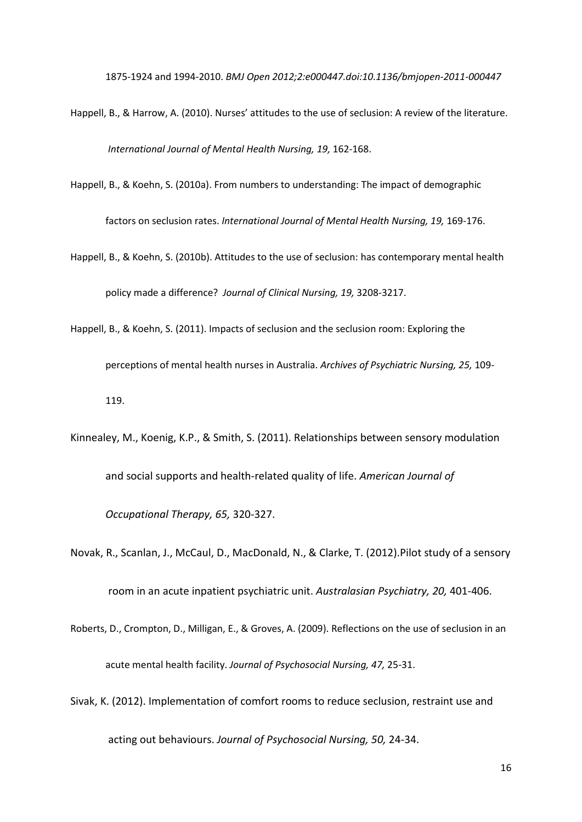1875-1924 and 1994-2010. *BMJ Open 2012;2:e000447.doi:10.1136/bmjopen-2011-000447*

- Happell, B., & Harrow, A. (2010). Nurses' attitudes to the use of seclusion: A review of the literature. *International Journal of Mental Health Nursing, 19,* 162-168.
- Happell, B., & Koehn, S. (2010a). From numbers to understanding: The impact of demographic

factors on seclusion rates. *International Journal of Mental Health Nursing, 19,* 169-176.

- Happell, B., & Koehn, S. (2010b). Attitudes to the use of seclusion: has contemporary mental health policy made a difference? *Journal of Clinical Nursing, 19,* 3208-3217.
- Happell, B., & Koehn, S. (2011). Impacts of seclusion and the seclusion room: Exploring the perceptions of mental health nurses in Australia. *Archives of Psychiatric Nursing, 25,* 109- 119.
- Kinnealey, M., Koenig, K.P., & Smith, S. (2011). Relationships between sensory modulation and social supports and health-related quality of life. *American Journal of Occupational Therapy, 65,* 320-327.
- Novak, R., Scanlan, J., McCaul, D., MacDonald, N., & Clarke, T. (2012).Pilot study of a sensory room in an acute inpatient psychiatric unit. *Australasian Psychiatry, 20,* 401-406.
- Roberts, D., Crompton, D., Milligan, E., & Groves, A. (2009). Reflections on the use of seclusion in an acute mental health facility. *Journal of Psychosocial Nursing, 47,* 25-31.
- Sivak, K. (2012). Implementation of comfort rooms to reduce seclusion, restraint use and

acting out behaviours. *Journal of Psychosocial Nursing, 50,* 24-34.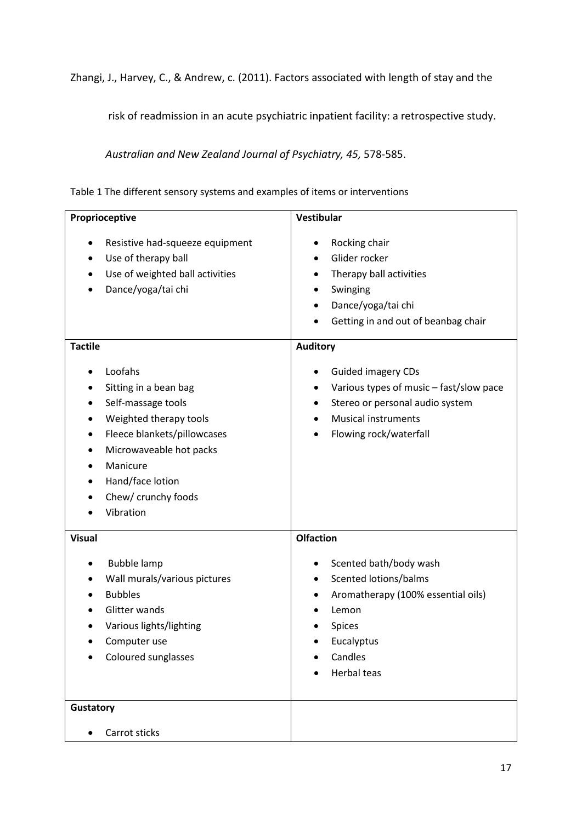Zhangi, J., Harvey, C., & Andrew, c. (2011). Factors associated with length of stay and the

risk of readmission in an acute psychiatric inpatient facility: a retrospective study.

*Australian and New Zealand Journal of Psychiatry, 45,* 578-585.

| Proprioceptive                                                                                                                                                                                                                                     | Vestibular                                                                                                                                                                                                                |  |
|----------------------------------------------------------------------------------------------------------------------------------------------------------------------------------------------------------------------------------------------------|---------------------------------------------------------------------------------------------------------------------------------------------------------------------------------------------------------------------------|--|
| Resistive had-squeeze equipment<br>$\bullet$<br>Use of therapy ball<br>$\bullet$<br>Use of weighted ball activities<br>Dance/yoga/tai chi                                                                                                          | Rocking chair<br>Glider rocker<br>$\bullet$<br>Therapy ball activities<br>٠<br>Swinging<br>٠<br>Dance/yoga/tai chi<br>$\bullet$<br>Getting in and out of beanbag chair                                                    |  |
| <b>Tactile</b><br>Loofahs<br>Sitting in a bean bag<br>Self-massage tools<br>Weighted therapy tools<br>Fleece blankets/pillowcases<br>٠<br>Microwaveable hot packs<br>$\bullet$<br>Manicure<br>Hand/face lotion<br>Chew/ crunchy foods<br>Vibration | <b>Auditory</b><br><b>Guided imagery CDs</b><br>Various types of music - fast/slow pace<br>$\bullet$<br>Stereo or personal audio system<br>$\bullet$<br><b>Musical instruments</b><br>Flowing rock/waterfall<br>$\bullet$ |  |
| <b>Visual</b><br><b>Bubble lamp</b><br>Wall murals/various pictures<br><b>Bubbles</b><br>Glitter wands<br>Various lights/lighting<br>Computer use<br>Coloured sunglasses<br>Gustatory<br>Carrot sticks<br>$\bullet$                                | <b>Olfaction</b><br>Scented bath/body wash<br>Scented lotions/balms<br>$\bullet$<br>Aromatherapy (100% essential oils)<br>٠<br>Lemon<br>Spices<br>Eucalyptus<br>Candles<br><b>Herbal teas</b>                             |  |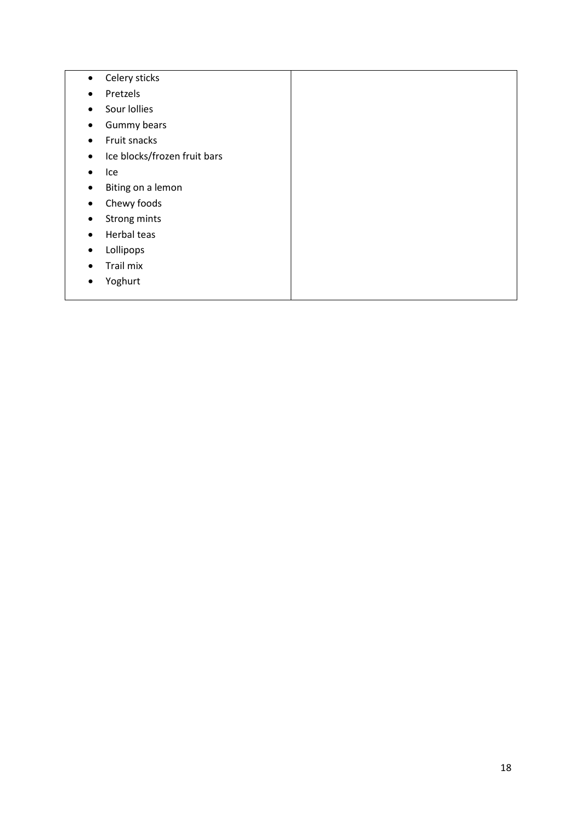- Celery sticks
- Pretzels
- Sour lollies
- Gummy bears
- Fruit snacks
- Ice blocks/frozen fruit bars
- Ice
- Biting on a lemon
- Chewy foods
- Strong mints
- Herbal teas
- Lollipops
- Trail mix
- Yoghurt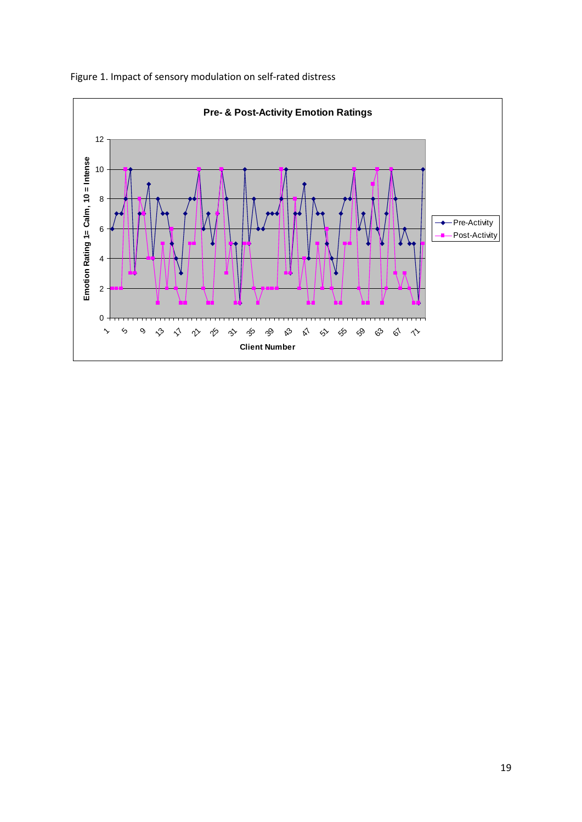

Figure 1. Impact of sensory modulation on self-rated distress